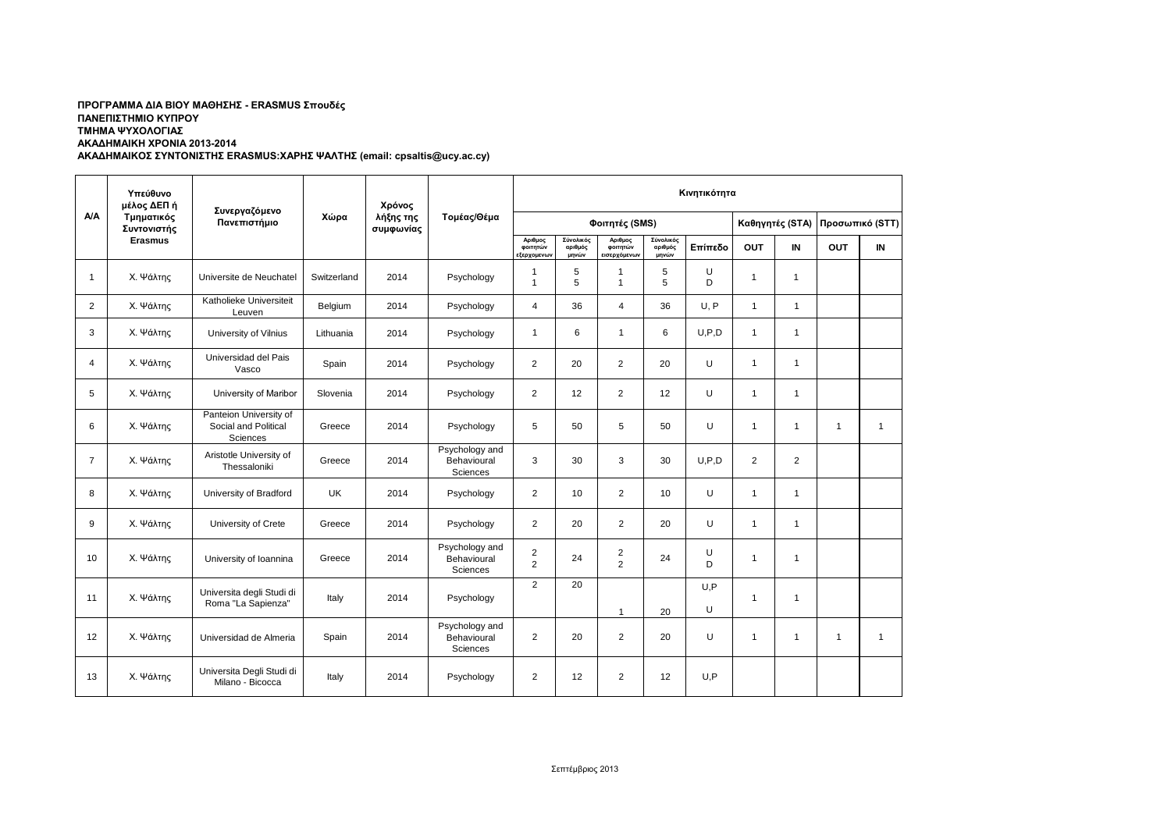## **ΑΚΑΔΗΜΑΙΚΟΣ ΣΥΝΤΟΝΙΣΤΗΣ ERASMUS:ΧΑΡΗΣ ΨΑΛΤΗΣ (email: cpsaltis@ucy.ac.cy) ΠΡΟΓΡΑΜΜΑ ΔΙΑ ΒΙΟΥ ΜΑΘΗΣΗΣ - ERASMUS Σπουδές ΠΑΝΕΠΙΣΤΗΜΙΟ ΚΥΠΡΟΥ ΤΜΗΜΑ ΨΥΧΟΛΟΓΙΑΣ ΑΚΑΔΗΜΑΙΚΗ ΧΡΟΝΙΑ 2013-2014**

| <b>A/A</b>     | Υπεύθυνο<br>μέλος ΔΕΠ ή<br>Τμηματικός<br>Συντονιστής<br><b>Erasmus</b> | Συνεργαζόμενο<br>Πανεπιστήμιο                              | Χώρα        | Χρόνος<br>λήξης της<br>συμφωνίας | Τομέας/Θέμα                                      | Κινητικότητα                       |                               |                                    |                               |          |                 |                |                 |              |
|----------------|------------------------------------------------------------------------|------------------------------------------------------------|-------------|----------------------------------|--------------------------------------------------|------------------------------------|-------------------------------|------------------------------------|-------------------------------|----------|-----------------|----------------|-----------------|--------------|
|                |                                                                        |                                                            |             |                                  |                                                  | Φοιτητές (SMS)                     |                               |                                    |                               |          | Καθηγητές (STA) |                | Προσωπικό (STT) |              |
|                |                                                                        |                                                            |             |                                  |                                                  | Αριθμος<br>φοιτητών<br>εξερχομενων | Σύνολικός<br>αριθμός<br>μηνών | Αριθμος<br>φοιτητών<br>ισερχόμενων | Σύνολικός<br>αριθμός<br>μηνών | Επίπεδο  | <b>OUT</b>      | IN             | <b>OUT</b>      | IN           |
| $\mathbf{1}$   | Χ. Ψάλτης                                                              | Universite de Neuchatel                                    | Switzerland | 2014                             | Psychology                                       | -1<br>$\overline{1}$               | 5<br>5                        | $\mathbf{1}$<br>$\mathbf{1}$       | 5<br>5                        | U<br>D   | $\mathbf{1}$    | $\mathbf{1}$   |                 |              |
| $\overline{2}$ | Χ. Ψάλτης                                                              | Katholieke Universiteit<br>Leuven                          | Belgium     | 2014                             | Psychology                                       | $\overline{4}$                     | 36                            | $\overline{4}$                     | 36                            | U, P     | $\mathbf{1}$    | $\mathbf{1}$   |                 |              |
| 3              | Χ. Ψάλτης                                                              | University of Vilnius                                      | Lithuania   | 2014                             | Psychology                                       | $\mathbf{1}$                       | 6                             | $\mathbf{1}$                       | 6                             | U, P, D  | $\mathbf{1}$    | $\mathbf{1}$   |                 |              |
| $\overline{4}$ | Χ. Ψάλτης                                                              | Universidad del Pais<br>Vasco                              | Spain       | 2014                             | Psychology                                       | $\overline{2}$                     | 20                            | $\overline{2}$                     | 20                            | U        | $\mathbf{1}$    | $\mathbf{1}$   |                 |              |
| 5              | Χ. Ψάλτης                                                              | University of Maribor                                      | Slovenia    | 2014                             | Psychology                                       | $\overline{2}$                     | 12                            | $\overline{2}$                     | 12                            | U        | $\mathbf{1}$    | $\mathbf{1}$   |                 |              |
| 6              | Χ. Ψάλτης                                                              | Panteion University of<br>Social and Political<br>Sciences | Greece      | 2014                             | Psychology                                       | 5                                  | 50                            | 5                                  | 50                            | U        | $\mathbf{1}$    | $\mathbf{1}$   | $\mathbf{1}$    | $\mathbf{1}$ |
| $\overline{7}$ | Χ. Ψάλτης                                                              | Aristotle University of<br>Thessaloniki                    | Greece      | 2014                             | Psychology and<br>Behavioural<br>Sciences        | 3                                  | 30                            | 3                                  | 30                            | U, P, D  | 2               | $\overline{2}$ |                 |              |
| 8              | Χ. Ψάλτης                                                              | University of Bradford                                     | <b>UK</b>   | 2014                             | Psychology                                       | 2                                  | 10 <sup>1</sup>               | $\overline{2}$                     | 10                            | U        | $\mathbf{1}$    | $\mathbf{1}$   |                 |              |
| 9              | Χ. Ψάλτης                                                              | University of Crete                                        | Greece      | 2014                             | Psychology                                       | 2                                  | 20                            | $\overline{2}$                     | 20                            | U        | $\mathbf{1}$    | $\mathbf{1}$   |                 |              |
| 10             | Χ. Ψάλτης                                                              | University of Ioannina                                     | Greece      | 2014                             | Psychology and<br>Behavioural<br><b>Sciences</b> | $\overline{2}$<br>2                | 24                            | $\overline{2}$<br>$\overline{2}$   | 24                            | U<br>D   | $\mathbf{1}$    | $\mathbf{1}$   |                 |              |
| 11             | Χ. Ψάλτης                                                              | Universita degli Studi di<br>Roma "La Sapienza"            | Italy       | 2014                             | Psychology                                       | 2                                  | 20                            | $\mathbf{1}$                       | 20                            | U.P<br>U | $\mathbf{1}$    | $\mathbf{1}$   |                 |              |
| 12             | Χ. Ψάλτης                                                              | Universidad de Almeria                                     | Spain       | 2014                             | Psychology and<br>Behavioural<br>Sciences        | 2                                  | 20                            | 2                                  | 20                            | U        | $\overline{1}$  | $\mathbf{1}$   | $\mathbf{1}$    | $\mathbf{1}$ |
| 13             | Χ. Ψάλτης                                                              | Universita Degli Studi di<br>Milano - Bicocca              | Italy       | 2014                             | Psychology                                       | 2                                  | 12                            | $\overline{2}$                     | 12                            | U,P      |                 |                |                 |              |